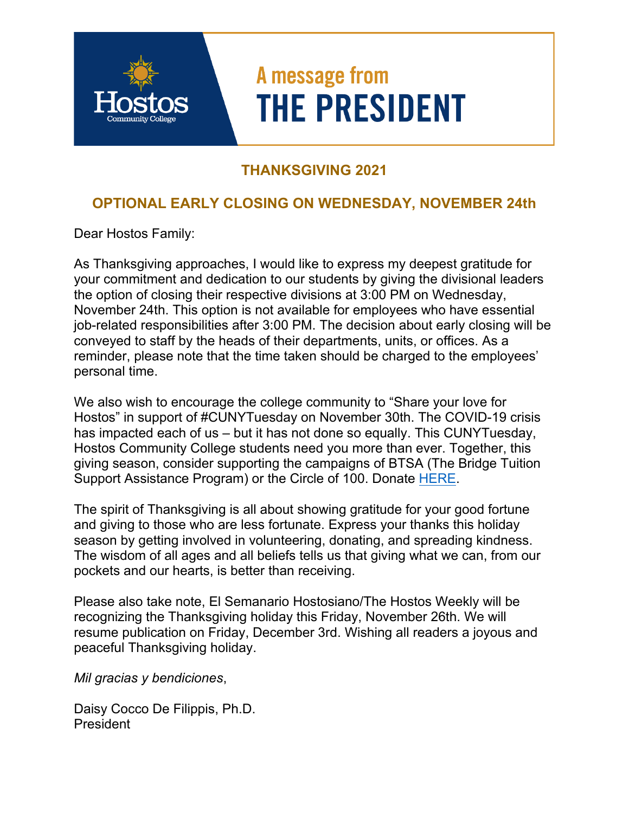# A message from **THE PRESIDENT**

## **THANKSGIVING 2021**

## **OPTIONAL EARLY CLOSING ON WEDNESDAY, NOVEMBER 24th**

Dear Hostos Family:

As Thanksgiving approaches, I would like to express my deepest gratitude for your commitment and dedication to our students by giving the divisional leaders the option of closing their respective divisions at 3:00 PM on Wednesday, November 24th. This option is not available for employees who have essential job-related responsibilities after 3:00 PM. The decision about early closing will be conveyed to staff by the heads of their departments, units, or offices. As a reminder, please note that the time taken should be charged to the employees' personal time.

We also wish to encourage the college community to "Share your love for Hostos" in support of #CUNYTuesday on November 30th. The COVID-19 crisis has impacted each of us – but it has not done so equally. This CUNYTuesday, Hostos Community College students need you more than ever. Together, this giving season, consider supporting the campaigns of BTSA (The Bridge Tuition Support Assistance Program) or the Circle of 100. Donate **HERE**.

The spirit of Thanksgiving is all about showing gratitude for your good fortune and giving to those who are less fortunate. Express your thanks this holiday season by getting involved in volunteering, donating, and spreading kindness. The wisdom of all ages and all beliefs tells us that giving what we can, from our pockets and our hearts, is better than receiving.

Please also take note, El Semanario Hostosiano/The Hostos Weekly will be recognizing the Thanksgiving holiday this Friday, November 26th. We will resume publication on Friday, December 3rd. Wishing all readers a joyous and peaceful Thanksgiving holiday.

*Mil gracias y bendiciones*,

Daisy Cocco De Filippis, Ph.D. President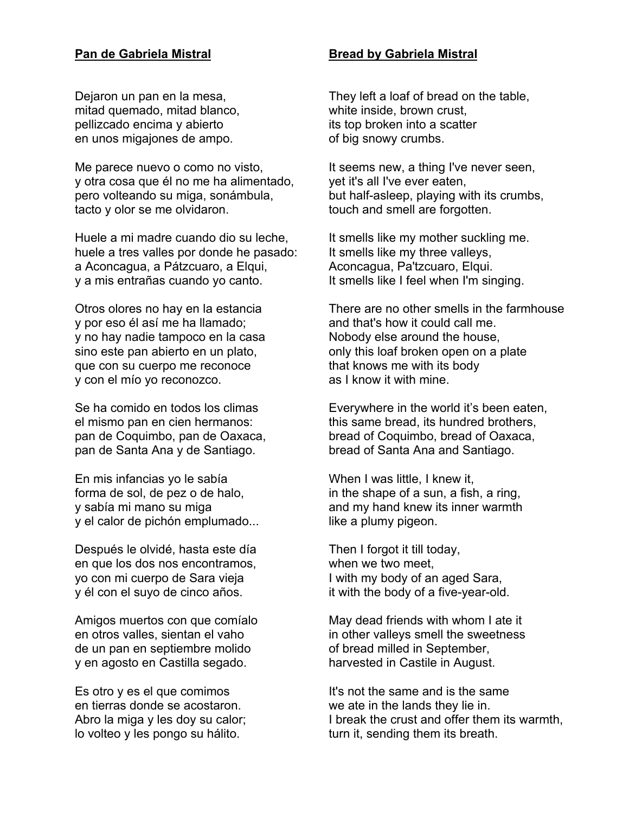### **Pan de Gabriela Mistral**

Dejaron un pan en la mesa, mitad quemado, mitad blanco, pellizcado encima y abierto en unos migajones de ampo.

Me parece nuevo o como no visto, y otra cosa que él no me ha alimentado, pero volteando su miga, sonámbula, tacto y olor se me olvidaron.

Huele a mi madre cuando dio su leche, huele a tres valles por donde he pasado: a Aconcagua, a Pátzcuaro, a Elqui, y a mis entrañas cuando yo canto.

Otros olores no hay en la estancia y por eso él así me ha llamado; y no hay nadie tampoco en la casa sino este pan abierto en un plato, que con su cuerpo me reconoce y con el mío yo reconozco.

Se ha comido en todos los climas el mismo pan en cien hermanos: pan de Coquimbo, pan de Oaxaca, pan de Santa Ana y de Santiago.

En mis infancias yo le sabía forma de sol, de pez o de halo, y sabía mi mano su miga y el calor de pichón emplumado...

Después le olvidé, hasta este día en que los dos nos encontramos, yo con mi cuerpo de Sara vieja y él con el suyo de cinco años.

Amigos muertos con que comíalo en otros valles, sientan el vaho de un pan en septiembre molido y en agosto en Castilla segado.

Es otro y es el que comimos en tierras donde se acostaron. Abro la miga y les doy su calor; lo volteo y les pongo su hálito.

### **Bread by Gabriela Mistral**

They left a loaf of bread on the table, white inside, brown crust, its top broken into a scatter of big snowy crumbs.

It seems new, a thing I've never seen, yet it's all I've ever eaten, but half-asleep, playing with its crumbs, touch and smell are forgotten.

It smells like my mother suckling me. It smells like my three valleys, Aconcagua, Pa'tzcuaro, Elqui. It smells like I feel when I'm singing.

There are no other smells in the farmhouse and that's how it could call me. Nobody else around the house, only this loaf broken open on a plate that knows me with its body as I know it with mine.

Everywhere in the world it's been eaten, this same bread, its hundred brothers, bread of Coquimbo, bread of Oaxaca, bread of Santa Ana and Santiago.

When I was little, I knew it, in the shape of a sun, a fish, a ring, and my hand knew its inner warmth like a plumy pigeon.

Then I forgot it till today, when we two meet, I with my body of an aged Sara, it with the body of a five-year-old.

May dead friends with whom I ate it in other valleys smell the sweetness of bread milled in September, harvested in Castile in August.

It's not the same and is the same we ate in the lands they lie in. I break the crust and offer them its warmth, turn it, sending them its breath.